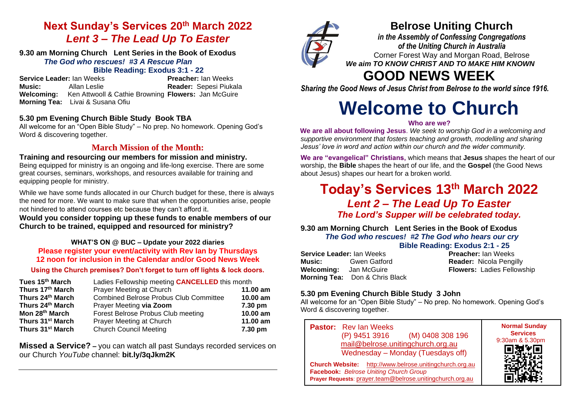# **Next Sunday's Services 20th March 2022** *Lent 3 – The Lead Up To Easter*

#### **9.30 am Morning Church Lent Series in the Book of Exodus** *The God who rescues!**#3 A Rescue Plan*

# **Bible Reading: Exodus 3:1 - 22**

**Service Leader:** Ian Weeks **Preacher:** Ian Weeks **Music:** Allan Leslie **Reader:** Sepesi Piukala **Welcoming:** Ken Attwooll & Cathie Browning **Flowers:** Jan McGuire **Morning Tea:** Livai & Susana Ofiu

# **5.30 pm Evening Church Bible Study Book TBA**

All welcome for an "Open Bible Study" – No prep. No homework. Opening God's Word & discovering together.

# **March Mission of the Month:**

**Training and resourcing our members for mission and ministry.** Being equipped for ministry is an ongoing and life-long exercise. There are some great courses, seminars, workshops, and resources available for training and equipping people for ministry.

While we have some funds allocated in our Church budget for these, there is always the need for more. We want to make sure that when the opportunities arise, people not hindered to attend courses etc because they can't afford it.

**Would you consider topping up these funds to enable members of our Church to be trained, equipped and resourced for ministry?**

## **WHAT'S ON @ BUC – Update your 2022 diaries Please register your event/activity with Rev Ian by Thursdays 12 noon for inclusion in the Calendar and/or Good News Week**

## **Using the Church premises? Don't forget to turn off lights & lock doors.**

| Tues 15 <sup>th</sup> March  | Ladies Fellowship meeting <b>CANCELLED</b> this month |            |
|------------------------------|-------------------------------------------------------|------------|
| Thurs 17th March             | Prayer Meeting at Church                              | 11.00 $am$ |
| Thurs 24th March             | <b>Combined Belrose Probus Club Committee</b>         | 10.00 am   |
| Thurs 24th March             | Prayer Meeting via Zoom                               | 7.30 pm    |
| Mon 28th March               | Forest Belrose Probus Club meeting                    | $10.00$ am |
| Thurs 31 <sup>st</sup> March | Prayer Meeting at Church                              | 11.00 am   |
| Thurs 31 <sup>st</sup> March | <b>Church Council Meeting</b>                         | 7.30 pm    |

**Missed a Service? –** you can watch all past Sundays recorded services on our Church *YouTube* channel: **bit.ly/3qJkm2K**



# **Belrose Uniting Church**

*in the Assembly of Confessing Congregations of the Uniting Church in Australia* Corner Forest Way and Morgan Road, Belrose *We aim TO KNOW CHRIST AND TO MAKE HIM KNOWN*

# **GOOD NEWS WEEK**

*Sharing the Good News of Jesus Christ from Belrose to the world since 1916.*

# **Welcome to Church**

## **Who are we?**

**We are all about following Jesus**. *We seek to worship God in a welcoming and supportive environment that fosters teaching and growth, modelling and sharing Jesus' love in word and action within our church and the wider community.*

**We are "evangelical" Christians,** which means that **Jesus** shapes the heart of our worship, the **Bible** shapes the heart of our life, and the **Gospel** (the Good News about Jesus) shapes our heart for a broken world.

# **Today's Services 13th March 2022**  *Lent 2 – The Lead Up To Easter The Lord's Supper will be celebrated today.*

**9.30 am Morning Church Lent Series in the Book of Exodus** *The God who rescues!**#2 The God who hears our cry*

**Bible Reading: Exodus 2:1 - 25**

| <b>Service Leader: lan Weeks</b> |                                       |  |  |
|----------------------------------|---------------------------------------|--|--|
| Music:                           | Gwen Gatford                          |  |  |
| <b>Welcoming:</b>                | Jan McGuire                           |  |  |
|                                  | <b>Morning Tea:</b> Don & Chris Black |  |  |

**Preacher:** Ian Weeks **Reader: Nicola Pengilly Flowers: Ladies Fellowship** 

# **5.30 pm Evening Church Bible Study 3 John**

All welcome for an "Open Bible Study" – No prep. No homework. Opening God's Word & discovering together.

| <b>Pastor:</b> Rev Ian Weeks<br>(M) 0408 308 196<br>(P) 9451 3916<br>mail@belrose.unitingchurch.org.au<br>Wednesday - Monday (Tuesdays off)                           | <b>Normal Sunday</b><br><b>Services</b><br>9:30am & 5.30pm |
|-----------------------------------------------------------------------------------------------------------------------------------------------------------------------|------------------------------------------------------------|
| <b>Church Website:</b> http://www.belrose.unitingchurch.org.au<br>Facebook: Belrose Uniting Church Group<br>Prayer Requests: prayer.team@belrose.unitingchurch.org.au |                                                            |